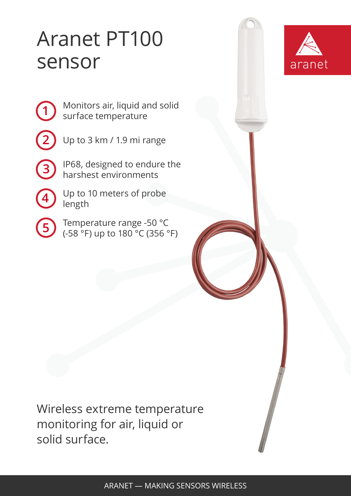## Aranet PT100 sensor



**2**

**3**

**1**

Up to 3 km / 1.9 mi range

IP68, designed to endure the harshest environments

**4**

**5**

Up to 10 meters of probe length

Temperature range -50 °C (-58 °F) up to 180 °C (356 °F)

Wireless extreme temperature monitoring for air, liquid or solid surface.